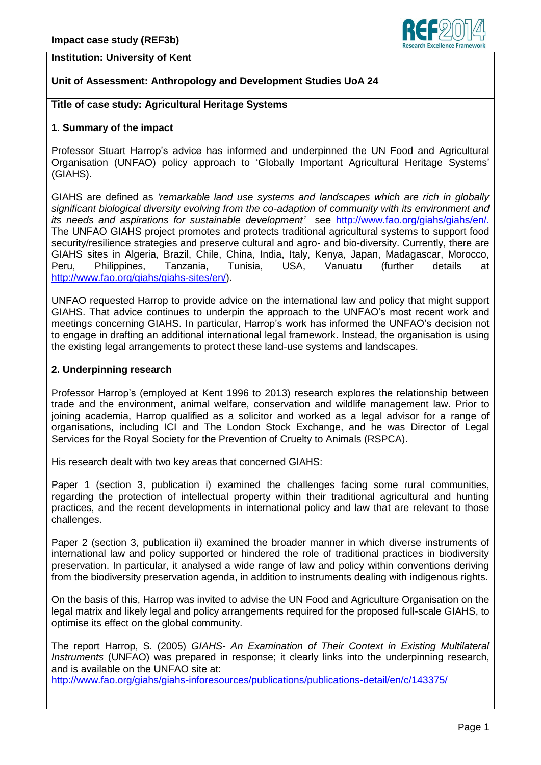

# **Institution: University of Kent**

# **Unit of Assessment: Anthropology and Development Studies UoA 24**

## **Title of case study: Agricultural Heritage Systems**

#### **1. Summary of the impact**

Professor Stuart Harrop's advice has informed and underpinned the UN Food and Agricultural Organisation (UNFAO) policy approach to 'Globally Important Agricultural Heritage Systems' (GIAHS).

GIAHS are defined as *'remarkable land use systems and landscapes which are rich in globally significant biological diversity evolving from the co-adaption of community with its environment and its needs and aspirations for sustainable development'* see [http://www.fao.org/giahs/giahs/en/.](http://www.fao.org/giahs/giahs/en/) The UNFAO GIAHS project promotes and protects traditional agricultural systems to support food security/resilience strategies and preserve cultural and agro- and bio-diversity. Currently, there are GIAHS sites in Algeria, Brazil, Chile, China, India, Italy, Kenya, Japan, Madagascar, Morocco, Peru, Philippines, Tanzania, Tunisia, USA, Vanuatu (further details at [http://www.fao.org/giahs/giahs-sites/en/\)](http://www.fao.org/giahs/giahs-sites/en/).

UNFAO requested Harrop to provide advice on the international law and policy that might support GIAHS. That advice continues to underpin the approach to the UNFAO's most recent work and meetings concerning GIAHS. In particular, Harrop's work has informed the UNFAO's decision not to engage in drafting an additional international legal framework. Instead, the organisation is using the existing legal arrangements to protect these land-use systems and landscapes.

## **2. Underpinning research**

Professor Harrop's (employed at Kent 1996 to 2013) research explores the relationship between trade and the environment, animal welfare, conservation and wildlife management law. Prior to joining academia, Harrop qualified as a solicitor and worked as a legal advisor for a range of organisations, including ICI and The London Stock Exchange, and he was Director of Legal Services for the Royal Society for the Prevention of Cruelty to Animals (RSPCA).

His research dealt with two key areas that concerned GIAHS:

Paper 1 (section 3, publication i) examined the challenges facing some rural communities, regarding the protection of intellectual property within their traditional agricultural and hunting practices, and the recent developments in international policy and law that are relevant to those challenges.

Paper 2 (section 3, publication ii) examined the broader manner in which diverse instruments of international law and policy supported or hindered the role of traditional practices in biodiversity preservation. In particular, it analysed a wide range of law and policy within conventions deriving from the biodiversity preservation agenda, in addition to instruments dealing with indigenous rights.

On the basis of this, Harrop was invited to advise the UN Food and Agriculture Organisation on the legal matrix and likely legal and policy arrangements required for the proposed full-scale GIAHS, to optimise its effect on the global community.

The report Harrop, S. (2005) *GIAHS- An Examination of Their Context in Existing Multilateral Instruments* (UNFAO) was prepared in response; it clearly links into the underpinning research, and is available on the UNFAO site at:

<http://www.fao.org/giahs/giahs-inforesources/publications/publications-detail/en/c/143375/>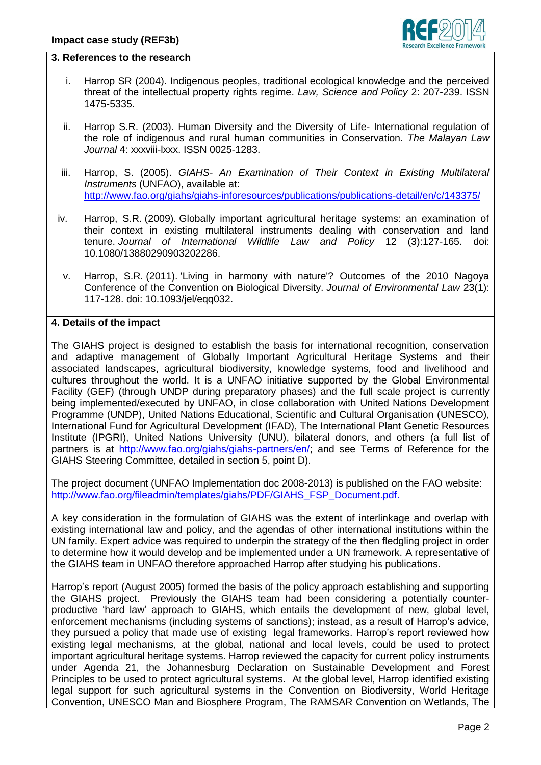

## **3. References to the research**

- i. Harrop SR (2004). Indigenous peoples, traditional ecological knowledge and the perceived threat of the intellectual property rights regime. *Law, Science and Policy* 2: 207-239. ISSN 1475-5335.
- ii. Harrop S.R. (2003). Human Diversity and the Diversity of Life- International regulation of the role of indigenous and rural human communities in Conservation. *The Malayan Law Journal* 4: xxxviii-lxxx. ISSN 0025-1283.
- iii. Harrop, S. (2005). *GIAHS- An Examination of Their Context in Existing Multilateral Instruments* (UNFAO), available at: <http://www.fao.org/giahs/giahs-inforesources/publications/publications-detail/en/c/143375/>
- iv. Harrop, S.R. (2009). [Globally important agricultural heritage systems: an examination of](http://sro.sussex.ac.uk/45133/)  [their context in existing multilateral instruments dealing with conservation and land](http://sro.sussex.ac.uk/45133/)  [tenure.](http://sro.sussex.ac.uk/45133/) *Journal of International Wildlife Law and Policy* 12 (3):127-165. doi: 10.1080/13880290903202286.
- v. Harrop, S.R. (2011). ['Living in harmony with nature'? Outcomes of the 2010 Nagoya](http://sro.sussex.ac.uk/44805/)  [Conference of the Convention on Biological Diversity.](http://sro.sussex.ac.uk/44805/) *Journal of Environmental Law* 23(1): 117-128. doi: 10.1093/jel/eqq032.

## **4. Details of the impact**

The GIAHS project is designed to establish the basis for international recognition, conservation and adaptive management of Globally Important Agricultural Heritage Systems and their associated landscapes, agricultural biodiversity, knowledge systems, food and livelihood and cultures throughout the world. It is a UNFAO initiative supported by the Global Environmental Facility (GEF) (through UNDP during preparatory phases) and the full scale project is currently being implemented/executed by UNFAO, in close collaboration with United Nations Development Programme (UNDP), United Nations Educational, Scientific and Cultural Organisation (UNESCO), International Fund for Agricultural Development (IFAD), The International Plant Genetic Resources Institute (IPGRI), United Nations University (UNU), bilateral donors, and others (a full list of partners is at [http://www.fao.org/giahs/giahs-partners/en/;](http://www.fao.org/giahs/giahs-partners/en/) and see Terms of Reference for the GIAHS Steering Committee, detailed in section 5, point D).

The project document (UNFAO Implementation doc 2008-2013) is published on the FAO website: [http://www.fao.org/fileadmin/templates/giahs/PDF/GIAHS\\_FSP\\_Document.pdf.](http://www.fao.org/fileadmin/templates/giahs/PDF/GIAHS_FSP_Document.pdf)

A key consideration in the formulation of GIAHS was the extent of interlinkage and overlap with existing international law and policy, and the agendas of other international institutions within the UN family. Expert advice was required to underpin the strategy of the then fledgling project in order to determine how it would develop and be implemented under a UN framework. A representative of the GIAHS team in UNFAO therefore approached Harrop after studying his publications.

Harrop's report (August 2005) formed the basis of the policy approach establishing and supporting the GIAHS project. Previously the GIAHS team had been considering a potentially counterproductive 'hard law' approach to GIAHS, which entails the development of new, global level, enforcement mechanisms (including systems of sanctions); instead, as a result of Harrop's advice, they pursued a policy that made use of existing legal frameworks. Harrop's report reviewed how existing legal mechanisms, at the global, national and local levels, could be used to protect important agricultural heritage systems. Harrop reviewed the capacity for current policy instruments under Agenda 21, the Johannesburg Declaration on Sustainable Development and Forest Principles to be used to protect agricultural systems. At the global level, Harrop identified existing legal support for such agricultural systems in the Convention on Biodiversity, World Heritage Convention, UNESCO Man and Biosphere Program, The RAMSAR Convention on Wetlands, The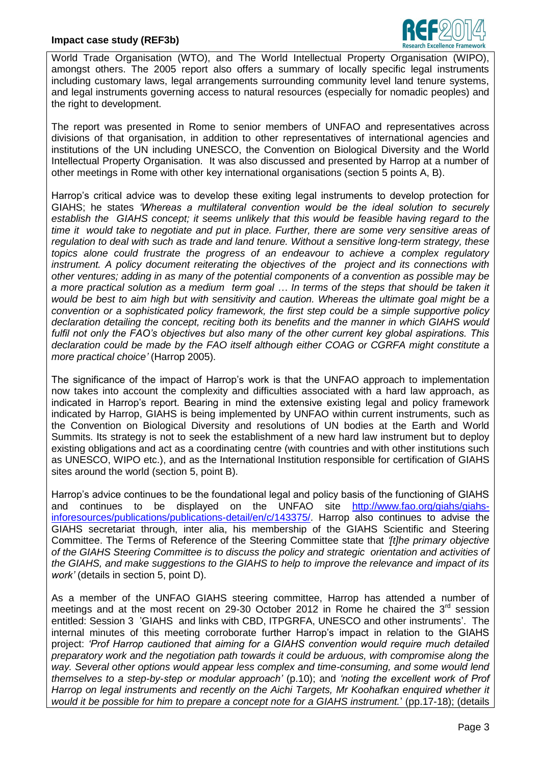## **Impact case study (REF3b)**



World Trade Organisation (WTO), and The World Intellectual Property Organisation (WIPO), amongst others. The 2005 report also offers a summary of locally specific legal instruments including customary laws, legal arrangements surrounding community level land tenure systems, and legal instruments governing access to natural resources (especially for nomadic peoples) and the right to development.

The report was presented in Rome to senior members of UNFAO and representatives across divisions of that organisation, in addition to other representatives of international agencies and institutions of the UN including UNESCO, the Convention on Biological Diversity and the World Intellectual Property Organisation. It was also discussed and presented by Harrop at a number of other meetings in Rome with other key international organisations (section 5 points A, B).

Harrop's critical advice was to develop these exiting legal instruments to develop protection for GIAHS; he states *'Whereas a multilateral convention would be the ideal solution to securely establish the GIAHS concept; it seems unlikely that this would be feasible having regard to the time it would take to negotiate and put in place. Further, there are some very sensitive areas of regulation to deal with such as trade and land tenure. Without a sensitive long-term strategy, these topics alone could frustrate the progress of an endeavour to achieve a complex regulatory*  instrument. A policy document reiterating the objectives of the project and its connections with *other ventures; adding in as many of the potential components of a convention as possible may be a more practical solution as a medium term goal … In terms of the steps that should be taken it would be best to aim high but with sensitivity and caution. Whereas the ultimate goal might be a convention or a sophisticated policy framework, the first step could be a simple supportive policy declaration detailing the concept, reciting both its benefits and the manner in which GIAHS would fulfil not only the FAO's objectives but also many of the other current key global aspirations. This declaration could be made by the FAO itself although either COAG or CGRFA might constitute a more practical choice'* (Harrop 2005).

The significance of the impact of Harrop's work is that the UNFAO approach to implementation now takes into account the complexity and difficulties associated with a hard law approach, as indicated in Harrop's report. Bearing in mind the extensive existing legal and policy framework indicated by Harrop, GIAHS is being implemented by UNFAO within current instruments, such as the Convention on Biological Diversity and resolutions of UN bodies at the Earth and World Summits. Its strategy is not to seek the establishment of a new hard law instrument but to deploy existing obligations and act as a coordinating centre (with countries and with other institutions such as UNESCO, WIPO etc.), and as the International Institution responsible for certification of GIAHS sites around the world (section 5, point B).

Harrop's advice continues to be the foundational legal and policy basis of the functioning of GIAHS and continues to be displayed on the UNFAO site [http://www.fao.org/giahs/giahs](http://www.fao.org/giahs/giahs-inforesources/publications/publications-detail/en/c/143375/)[inforesources/publications/publications-detail/en/c/143375/.](http://www.fao.org/giahs/giahs-inforesources/publications/publications-detail/en/c/143375/) Harrop also continues to advise the GIAHS secretariat through, inter alia, his membership of the GIAHS Scientific and Steering Committee. The Terms of Reference of the Steering Committee state that *'[t]he primary objective of the GIAHS Steering Committee is to discuss the policy and strategic orientation and activities of the GIAHS, and make suggestions to the GIAHS to help to improve the relevance and impact of its work'* (details in section 5, point D).

As a member of the UNFAO GIAHS steering committee, Harrop has attended a number of meetings and at the most recent on 29-30 October 2012 in Rome he chaired the  $3<sup>rd</sup>$  session entitled: Session 3 'GIAHS and links with CBD, ITPGRFA, UNESCO and other instruments'.The internal minutes of this meeting corroborate further Harrop's impact in relation to the GIAHS project: *'Prof Harrop cautioned that aiming for a GIAHS convention would require much detailed preparatory work and the negotiation path towards it could be arduous, with compromise along the way. Several other options would appear less complex and time-consuming, and some would lend themselves to a step-by-step or modular approach'* (p.10); and *'noting the excellent work of Prof Harrop on legal instruments and recently on the Aichi Targets, Mr Koohafkan enquired whether it would it be possible for him to prepare a concept note for a GIAHS instrument.*' (pp.17-18); (details